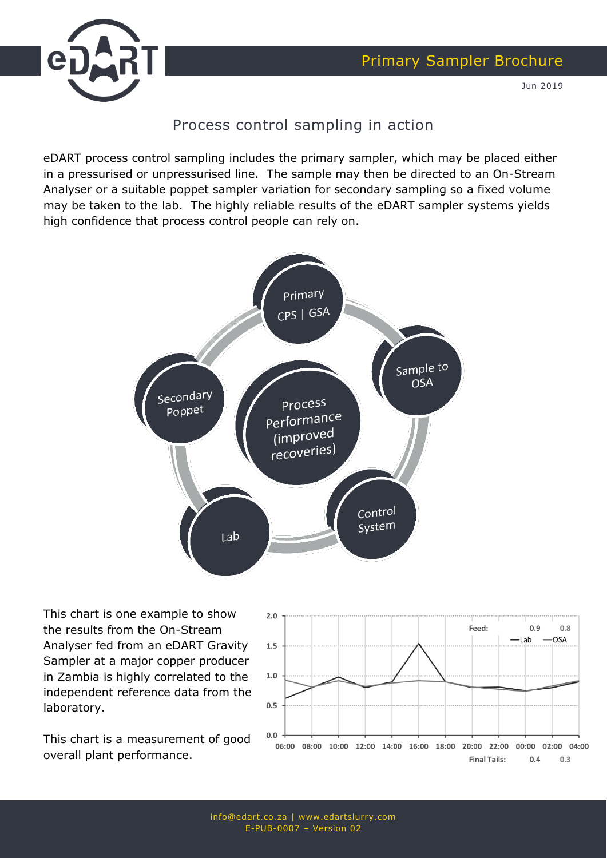



Jun 2019

### Process control sampling in action

eDART process control sampling includes the primary sampler, which may be placed either in a pressurised or unpressurised line. The sample may then be directed to an On-Stream Analyser or a suitable poppet sampler variation for secondary sampling so a fixed volume may be taken to the lab. The highly reliable results of the eDART sampler systems yields high confidence that process control people can rely on.



This chart is one example to show the results from the On-Stream Analyser fed from an eDART Gravity Sampler at a major copper producer in Zambia is highly correlated to the independent reference data from the laboratory.

This chart is a measurement of good overall plant performance.

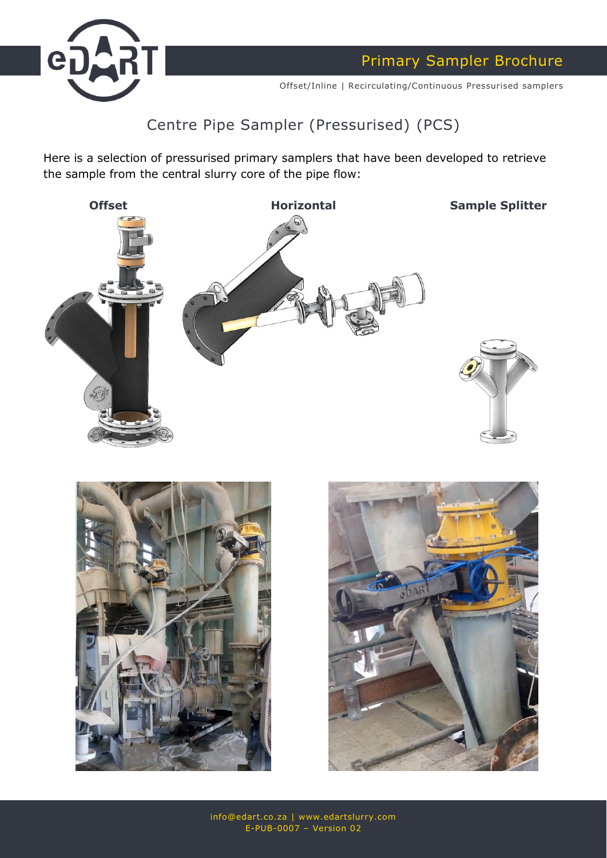

Primary Sampler Brochure

Offset/Inline | Recirculating/Continuous Pressurised samplers

## Centre Pipe Sampler (Pressurised) (PCS)

Here is a selection of pressurised primary samplers that have been developed to retrieve the sample from the central slurry core of the pipe flow:





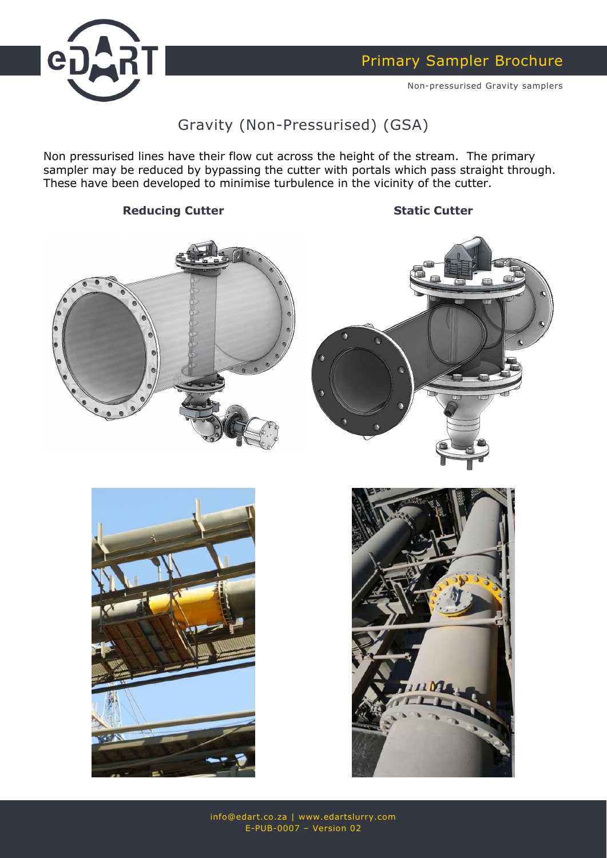

Non-pressurised Gravity samplers

## Gravity (Non-Pressurised) (GSA)

Non pressurised lines have their flow cut across the height of the stream. The primary sampler may be reduced by bypassing the cutter with portals which pass straight through. These have been developed to minimise turbulence in the vicinity of the cutter.

#### **Reducing Cutter Static Cutter**